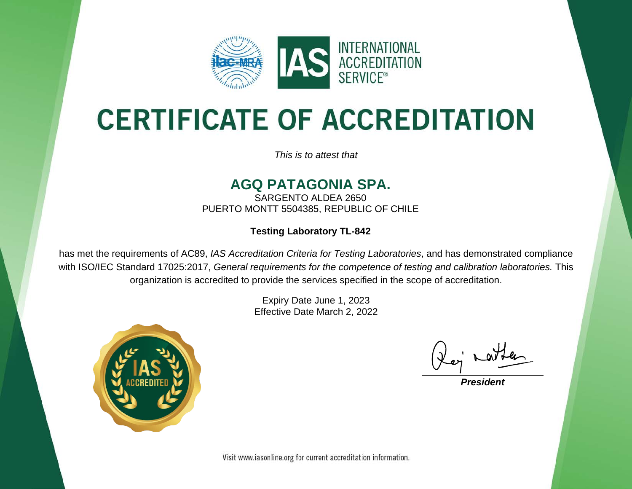

# **CERTIFICATE OF ACCREDITATION**

*This is to attest that*

#### **AGQ PATAGONIA SPA.**

SARGENTO ALDEA 2650 PUERTO MONTT 5504385, REPUBLIC OF CHILE

#### **Testing Laboratory TL-842**

has met the requirements of AC89, *IAS Accreditation Criteria for Testing Laboratories*, and has demonstrated compliance with ISO/IEC Standard 17025:2017, *General requirements for the competence of testing and calibration laboratories.* This organization is accredited to provide the services specified in the scope of accreditation.

> Expiry Date June 1, 2023 Effective Date March 2, 2022



*President*

Visit www.iasonline.org for current accreditation information.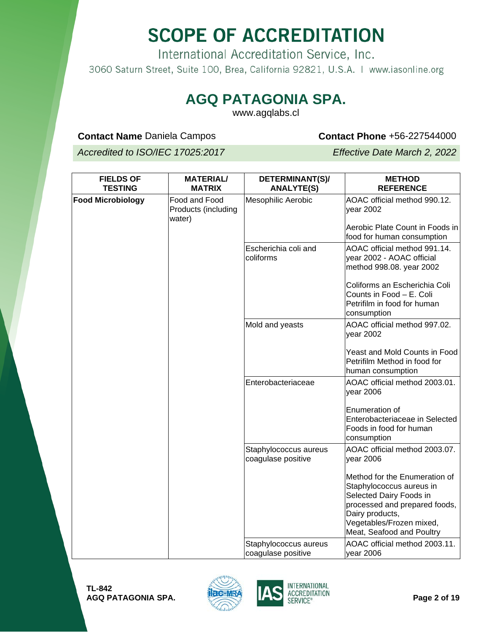International Accreditation Service, Inc. 3060 Saturn Street, Suite 100, Brea, California 92821, U.S.A. | www.iasonline.org

#### **AGQ PATAGONIA SPA.**

www.agqlabs.cl

#### **Contact Name** Daniela Campos **Contact Phone** +56-227544000

*Accredited to ISO/IEC 17025:2017 Effective Date March 2, 2022*

| <b>FIELDS OF</b><br><b>TESTING</b> | <b>MATERIAL/</b><br><b>MATRIX</b>              | DETERMINANT(S)/<br><b>ANALYTE(S)</b>        | <b>METHOD</b><br><b>REFERENCE</b>                                                                                                                                                                 |
|------------------------------------|------------------------------------------------|---------------------------------------------|---------------------------------------------------------------------------------------------------------------------------------------------------------------------------------------------------|
| <b>Food Microbiology</b>           | Food and Food<br>Products (including<br>water) | <b>Mesophilic Aerobic</b>                   | AOAC official method 990.12.<br>year 2002                                                                                                                                                         |
|                                    |                                                |                                             | Aerobic Plate Count in Foods in<br>food for human consumption                                                                                                                                     |
|                                    |                                                | Escherichia coli and<br>coliforms           | AOAC official method 991.14.<br>year 2002 - AOAC official<br>method 998.08. year 2002                                                                                                             |
|                                    |                                                |                                             | Coliforms an Escherichia Coli<br>Counts in Food - E. Coli<br>Petrifilm in food for human<br>consumption                                                                                           |
|                                    |                                                | Mold and yeasts                             | AOAC official method 997.02.<br>year 2002                                                                                                                                                         |
|                                    |                                                |                                             | Yeast and Mold Counts in Food<br>Petrifilm Method in food for<br>human consumption                                                                                                                |
|                                    |                                                | Enterobacteriaceae                          | AOAC official method 2003.01.<br>year 2006                                                                                                                                                        |
|                                    |                                                |                                             | Enumeration of<br>Enterobacteriaceae in Selected<br>Foods in food for human<br>consumption                                                                                                        |
|                                    |                                                | Staphylococcus aureus<br>coagulase positive | AOAC official method 2003.07.<br>year 2006                                                                                                                                                        |
|                                    |                                                |                                             | Method for the Enumeration of<br>Staphylococcus aureus in<br>Selected Dairy Foods in<br>processed and prepared foods,<br>Dairy products,<br>Vegetables/Frozen mixed,<br>Meat, Seafood and Poultry |
|                                    |                                                | Staphylococcus aureus<br>coagulase positive | AOAC official method 2003.11.<br>year 2006                                                                                                                                                        |



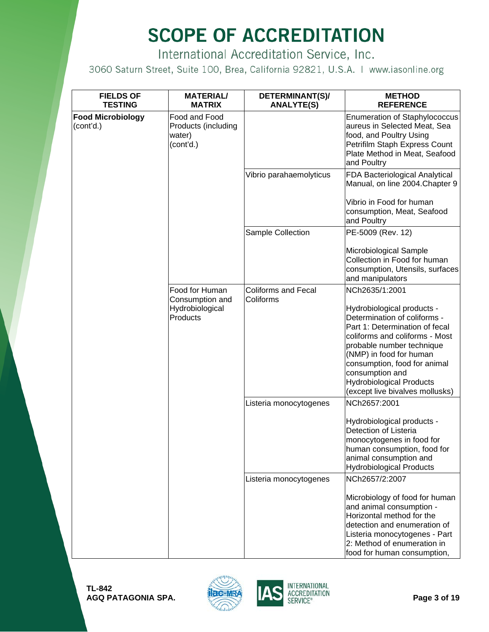International Accreditation Service, Inc.

| <b>FIELDS OF</b><br><b>TESTING</b>    | <b>MATERIAL/</b><br><b>MATRIX</b>                           | DETERMINANT(S)/<br><b>ANALYTE(S)</b>    | <b>METHOD</b><br><b>REFERENCE</b>                                                                                                                                                                                                                                                                               |
|---------------------------------------|-------------------------------------------------------------|-----------------------------------------|-----------------------------------------------------------------------------------------------------------------------------------------------------------------------------------------------------------------------------------------------------------------------------------------------------------------|
| <b>Food Microbiology</b><br>(cont'd.) | Food and Food<br>Products (including<br>water)<br>(cont'd.) |                                         | <b>Enumeration of Staphylococcus</b><br>aureus in Selected Meat, Sea<br>food, and Poultry Using<br>Petrifilm Staph Express Count<br>Plate Method in Meat, Seafood<br>and Poultry                                                                                                                                |
|                                       |                                                             | Vibrio parahaemolyticus                 | FDA Bacteriological Analytical<br>Manual, on line 2004. Chapter 9<br>Vibrio in Food for human<br>consumption, Meat, Seafood<br>and Poultry                                                                                                                                                                      |
|                                       |                                                             | Sample Collection                       | PE-5009 (Rev. 12)                                                                                                                                                                                                                                                                                               |
|                                       |                                                             |                                         | Microbiological Sample<br>Collection in Food for human<br>consumption, Utensils, surfaces<br>and manipulators                                                                                                                                                                                                   |
|                                       | Food for Human<br>Consumption and                           | <b>Coliforms and Fecal</b><br>Coliforms | NCh2635/1:2001                                                                                                                                                                                                                                                                                                  |
|                                       | Hydrobiological<br>Products                                 |                                         | Hydrobiological products -<br>Determination of coliforms -<br>Part 1: Determination of fecal<br>coliforms and coliforms - Most<br>probable number technique<br>(NMP) in food for human<br>consumption, food for animal<br>consumption and<br><b>Hydrobiological Products</b><br>(except live bivalves mollusks) |
|                                       |                                                             | Listeria monocytogenes                  | NCh2657:2001                                                                                                                                                                                                                                                                                                    |
|                                       |                                                             |                                         | Hydrobiological products -<br>Detection of Listeria<br>monocytogenes in food for<br>human consumption, food for<br>animal consumption and<br><b>Hydrobiological Products</b>                                                                                                                                    |
|                                       |                                                             | Listeria monocytogenes                  | NCh2657/2:2007                                                                                                                                                                                                                                                                                                  |
|                                       |                                                             |                                         | Microbiology of food for human<br>and animal consumption -<br>Horizontal method for the<br>detection and enumeration of<br>Listeria monocytogenes - Part<br>2: Method of enumeration in<br>food for human consumption,                                                                                          |



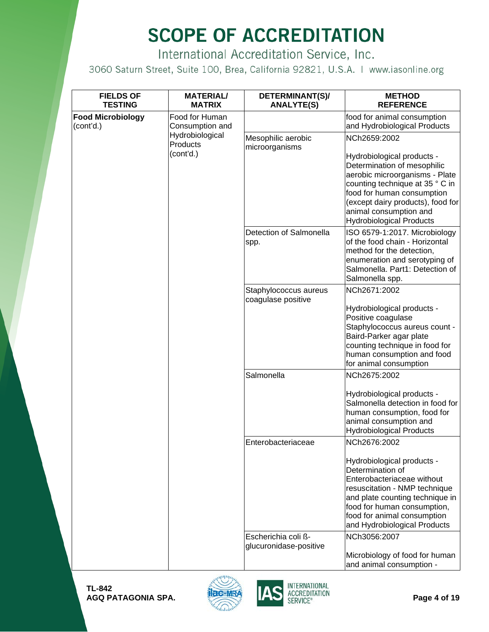International Accreditation Service, Inc.

| <b>FIELDS OF</b><br><b>TESTING</b>    | <b>MATERIAL/</b><br><b>MATRIX</b> | DETERMINANT(S)/<br><b>ANALYTE(S)</b>          | <b>METHOD</b><br><b>REFERENCE</b>                                                                                                                                                                                                                              |
|---------------------------------------|-----------------------------------|-----------------------------------------------|----------------------------------------------------------------------------------------------------------------------------------------------------------------------------------------------------------------------------------------------------------------|
| <b>Food Microbiology</b><br>(cont'd.) | Food for Human<br>Consumption and |                                               | food for animal consumption<br>and Hydrobiological Products                                                                                                                                                                                                    |
|                                       | Hydrobiological<br>Products       | Mesophilic aerobic<br>microorganisms          | NCh2659:2002                                                                                                                                                                                                                                                   |
|                                       | (cont'd.)                         |                                               | Hydrobiological products -<br>Determination of mesophilic<br>aerobic microorganisms - Plate<br>counting technique at 35 ° C in<br>food for human consumption<br>(except dairy products), food for<br>animal consumption and<br><b>Hydrobiological Products</b> |
|                                       |                                   | Detection of Salmonella<br>spp.               | ISO 6579-1:2017. Microbiology<br>of the food chain - Horizontal<br>method for the detection,<br>enumeration and serotyping of<br>Salmonella. Part1: Detection of<br>Salmonella spp.                                                                            |
|                                       |                                   | Staphylococcus aureus<br>coagulase positive   | NCh2671:2002                                                                                                                                                                                                                                                   |
|                                       |                                   |                                               | Hydrobiological products -<br>Positive coagulase<br>Staphylococcus aureus count -<br>Baird-Parker agar plate<br>counting technique in food for<br>human consumption and food<br>for animal consumption                                                         |
|                                       |                                   | Salmonella                                    | NCh2675:2002                                                                                                                                                                                                                                                   |
|                                       |                                   |                                               | Hydrobiological products -<br>Salmonella detection in food for<br>human consumption, food for<br>animal consumption and<br><b>Hydrobiological Products</b>                                                                                                     |
|                                       |                                   | Enterobacteriaceae                            | NCh2676:2002                                                                                                                                                                                                                                                   |
|                                       |                                   |                                               | Hydrobiological products -<br>Determination of<br>Enterobacteriaceae without<br>resuscitation - NMP technique<br>and plate counting technique in<br>food for human consumption,<br>food for animal consumption<br>and Hydrobiological Products                 |
|                                       |                                   | Escherichia coli ß-<br>glucuronidase-positive | NCh3056:2007<br>Microbiology of food for human<br>and animal consumption -                                                                                                                                                                                     |



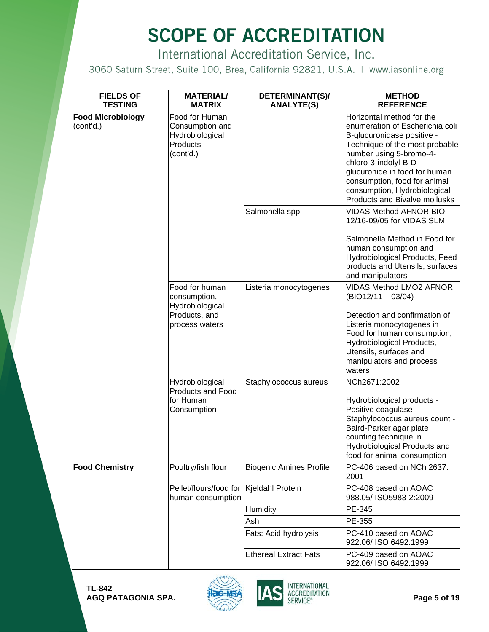International Accreditation Service, Inc.

| <b>FIELDS OF</b><br><b>TESTING</b>    | <b>MATERIAL/</b><br><b>MATRIX</b>                                             | DETERMINANT(S)/<br><b>ANALYTE(S)</b> | <b>METHOD</b><br><b>REFERENCE</b>                                                                                                                                                                                                                                                                                         |
|---------------------------------------|-------------------------------------------------------------------------------|--------------------------------------|---------------------------------------------------------------------------------------------------------------------------------------------------------------------------------------------------------------------------------------------------------------------------------------------------------------------------|
| <b>Food Microbiology</b><br>(cont'd.) | Food for Human<br>Consumption and<br>Hydrobiological<br>Products<br>(cont'd.) |                                      | Horizontal method for the<br>enumeration of Escherichia coli<br>B-glucuronidase positive -<br>Technique of the most probable<br>number using 5-bromo-4-<br>chloro-3-indolyl-B-D-<br>glucuronide in food for human<br>consumption, food for animal<br>consumption, Hydrobiological<br><b>Products and Bivalve mollusks</b> |
|                                       |                                                                               | Salmonella spp                       | <b>VIDAS Method AFNOR BIO-</b><br>12/16-09/05 for VIDAS SLM                                                                                                                                                                                                                                                               |
|                                       |                                                                               |                                      | Salmonella Method in Food for<br>human consumption and<br>Hydrobiological Products, Feed<br>products and Utensils, surfaces<br>and manipulators                                                                                                                                                                           |
|                                       | Food for human<br>consumption,<br>Hydrobiological                             | Listeria monocytogenes               | <b>VIDAS Method LMO2 AFNOR</b><br>$(BIO12/11 - 03/04)$                                                                                                                                                                                                                                                                    |
|                                       | Products, and<br>process waters                                               |                                      | Detection and confirmation of<br>Listeria monocytogenes in<br>Food for human consumption,<br>Hydrobiological Products,<br>Utensils, surfaces and<br>manipulators and process<br>waters                                                                                                                                    |
|                                       | Hydrobiological<br><b>Products and Food</b>                                   | Staphylococcus aureus                | NCh2671:2002                                                                                                                                                                                                                                                                                                              |
|                                       | for Human<br>Consumption                                                      |                                      | Hydrobiological products -<br>Positive coagulase<br>Staphylococcus aureus count -<br>Baird-Parker agar plate<br>counting technique in<br>Hydrobiological Products and<br>food for animal consumption                                                                                                                      |
| <b>Food Chemistry</b>                 | Poultry/fish flour                                                            | <b>Biogenic Amines Profile</b>       | PC-406 based on NCh 2637.<br>2001                                                                                                                                                                                                                                                                                         |
|                                       | Pellet/flours/food for<br>human consumption                                   | Kjeldahl Protein                     | PC-408 based on AOAC<br>988.05/ISO5983-2:2009                                                                                                                                                                                                                                                                             |
|                                       |                                                                               | Humidity                             | PE-345                                                                                                                                                                                                                                                                                                                    |
|                                       |                                                                               | Ash                                  | PE-355                                                                                                                                                                                                                                                                                                                    |
|                                       |                                                                               | Fats: Acid hydrolysis                | PC-410 based on AOAC<br>922.06/ISO 6492:1999                                                                                                                                                                                                                                                                              |
|                                       |                                                                               | <b>Ethereal Extract Fats</b>         | PC-409 based on AOAC<br>922.06/ ISO 6492:1999                                                                                                                                                                                                                                                                             |



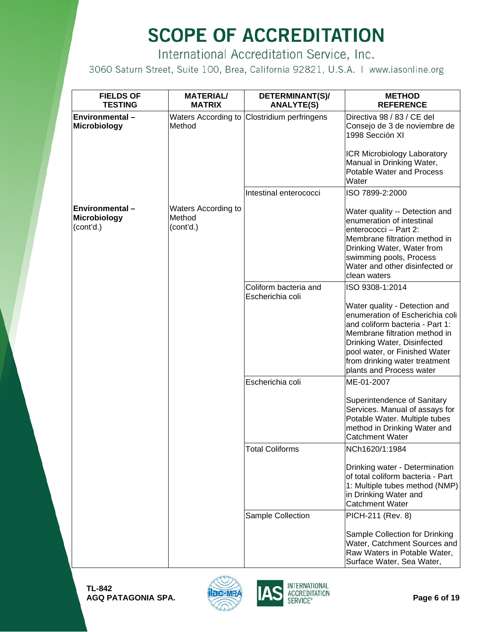International Accreditation Service, Inc.

| <b>FIELDS OF</b><br><b>TESTING</b>                 | <b>MATERIAL/</b><br><b>MATRIX</b>          | DETERMINANT(S)/<br><b>ANALYTE(S)</b>        | <b>METHOD</b><br><b>REFERENCE</b>                                                                                                                                                                                                                                 |
|----------------------------------------------------|--------------------------------------------|---------------------------------------------|-------------------------------------------------------------------------------------------------------------------------------------------------------------------------------------------------------------------------------------------------------------------|
| Environmental-<br><b>Microbiology</b>              | Method                                     | Waters According to Clostridium perfringens | Directiva 98 / 83 / CE del<br>Consejo de 3 de noviembre de<br>1998 Sección XI                                                                                                                                                                                     |
|                                                    |                                            |                                             | ICR Microbiology Laboratory<br>Manual in Drinking Water,<br>Potable Water and Process<br>Water                                                                                                                                                                    |
|                                                    |                                            | Intestinal enterococci                      | ISO 7899-2:2000                                                                                                                                                                                                                                                   |
| Environmental-<br><b>Microbiology</b><br>(cont'd.) | Waters According to<br>Method<br>(cont'd.) |                                             | Water quality -- Detection and<br>enumeration of intestinal<br>enterococci - Part 2:<br>Membrane filtration method in<br>Drinking Water, Water from<br>swimming pools, Process<br>Water and other disinfected or<br>clean waters                                  |
|                                                    |                                            | Coliform bacteria and                       | ISO 9308-1:2014                                                                                                                                                                                                                                                   |
|                                                    |                                            | Escherichia coli                            | Water quality - Detection and<br>enumeration of Escherichia coli<br>and coliform bacteria - Part 1:<br>Membrane filtration method in<br>Drinking Water, Disinfected<br>pool water, or Finished Water<br>from drinking water treatment<br>plants and Process water |
|                                                    |                                            | Escherichia coli                            | ME-01-2007                                                                                                                                                                                                                                                        |
|                                                    |                                            |                                             | Superintendence of Sanitary<br>Services. Manual of assays for<br>Potable Water. Multiple tubes<br>method in Drinking Water and<br><b>Catchment Water</b>                                                                                                          |
|                                                    |                                            | Total Coliforms                             | NCh1620/1:1984                                                                                                                                                                                                                                                    |
|                                                    |                                            |                                             | Drinking water - Determination<br>of total coliform bacteria - Part<br>1: Multiple tubes method (NMP)<br>in Drinking Water and<br><b>Catchment Water</b>                                                                                                          |
|                                                    |                                            | Sample Collection                           | PICH-211 (Rev. 8)                                                                                                                                                                                                                                                 |
|                                                    |                                            |                                             | Sample Collection for Drinking<br>Water, Catchment Sources and<br>Raw Waters in Potable Water,<br>Surface Water, Sea Water,                                                                                                                                       |

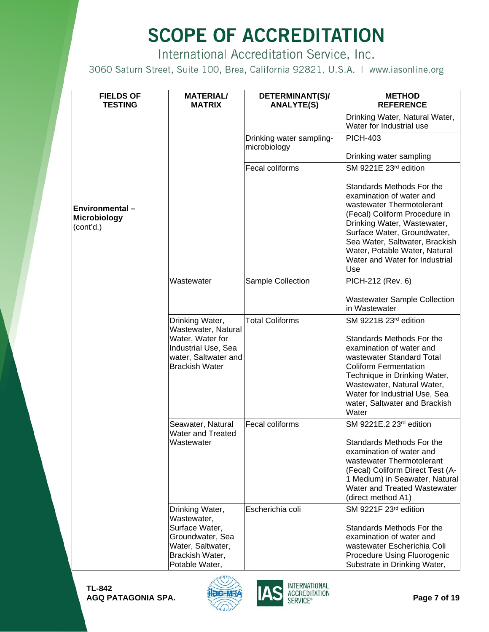International Accreditation Service, Inc.

| <b>FIELDS OF</b><br><b>TESTING</b>                        | <b>MATERIAL/</b><br><b>MATRIX</b>                                                                                                  | DETERMINANT(S)/<br><b>ANALYTE(S)</b>     | <b>METHOD</b><br><b>REFERENCE</b>                                                                                                                                                                                                                                                             |
|-----------------------------------------------------------|------------------------------------------------------------------------------------------------------------------------------------|------------------------------------------|-----------------------------------------------------------------------------------------------------------------------------------------------------------------------------------------------------------------------------------------------------------------------------------------------|
|                                                           |                                                                                                                                    |                                          | Drinking Water, Natural Water,<br>Water for Industrial use                                                                                                                                                                                                                                    |
|                                                           |                                                                                                                                    | Drinking water sampling-<br>microbiology | <b>PICH-403</b>                                                                                                                                                                                                                                                                               |
|                                                           |                                                                                                                                    |                                          | Drinking water sampling                                                                                                                                                                                                                                                                       |
|                                                           |                                                                                                                                    | Fecal coliforms                          | SM 9221E 23rd edition                                                                                                                                                                                                                                                                         |
| <b>Environmental-</b><br><b>Microbiology</b><br>(cont'd.) |                                                                                                                                    |                                          | Standards Methods For the<br>examination of water and<br>wastewater Thermotolerant<br>(Fecal) Coliform Procedure in<br>Drinking Water, Wastewater,<br>Surface Water, Groundwater,<br>Sea Water, Saltwater, Brackish<br>Water, Potable Water, Natural<br>Water and Water for Industrial<br>Use |
|                                                           | Wastewater                                                                                                                         | Sample Collection                        | PICH-212 (Rev. 6)                                                                                                                                                                                                                                                                             |
|                                                           |                                                                                                                                    |                                          | <b>Wastewater Sample Collection</b><br>in Wastewater                                                                                                                                                                                                                                          |
|                                                           | Drinking Water,<br>Wastewater, Natural<br>Water, Water for<br>Industrial Use, Sea<br>water, Saltwater and<br><b>Brackish Water</b> | <b>Total Coliforms</b>                   | SM 9221B 23rd edition<br>Standards Methods For the<br>examination of water and<br>wastewater Standard Total<br><b>Coliform Fermentation</b><br>Technique in Drinking Water,<br>Wastewater, Natural Water,<br>Water for Industrial Use, Sea<br>water, Saltwater and Brackish<br>Water          |
|                                                           | Seawater, Natural<br><b>Water and Treated</b><br>Wastewater                                                                        | Fecal coliforms                          | SM 9221E.2 23rd edition<br>Standards Methods For the<br>examination of water and<br>wastewater Thermotolerant<br>(Fecal) Coliform Direct Test (A-<br>1 Medium) in Seawater, Natural<br>Water and Treated Wastewater<br>(direct method A1)                                                     |
|                                                           | Drinking Water,<br>Wastewater,<br>Surface Water,<br>Groundwater, Sea<br>Water, Saltwater,<br>Brackish Water,<br>Potable Water,     | Escherichia coli                         | SM 9221F 23rd edition<br>Standards Methods For the<br>examination of water and<br>wastewater Escherichia Coli<br>Procedure Using Fluorogenic<br>Substrate in Drinking Water,                                                                                                                  |

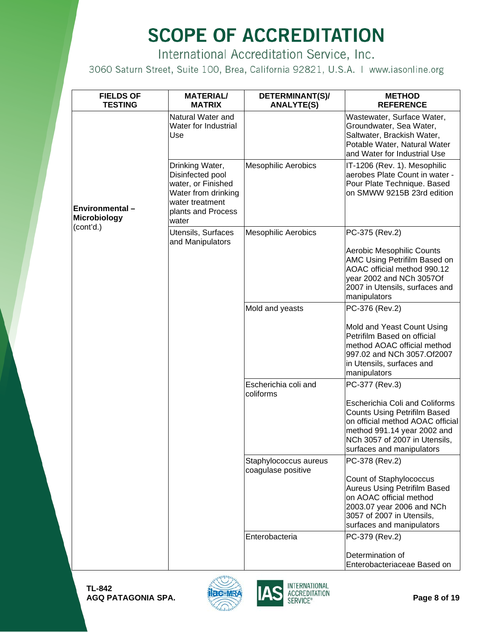International Accreditation Service, Inc.

| <b>FIELDS OF</b><br><b>TESTING</b> | <b>MATERIAL/</b><br><b>MATRIX</b>                                                                                                  | DETERMINANT(S)/<br><b>ANALYTE(S)</b>        | <b>METHOD</b><br><b>REFERENCE</b>                                                                                                                                                                             |
|------------------------------------|------------------------------------------------------------------------------------------------------------------------------------|---------------------------------------------|---------------------------------------------------------------------------------------------------------------------------------------------------------------------------------------------------------------|
|                                    | Natural Water and<br>Water for Industrial<br>Use                                                                                   |                                             | Wastewater, Surface Water,<br>Groundwater, Sea Water,<br>Saltwater, Brackish Water,<br>Potable Water, Natural Water<br>and Water for Industrial Use                                                           |
| Environmental-<br>Microbiology     | Drinking Water,<br>Disinfected pool<br>water, or Finished<br>Water from drinking<br>water treatment<br>plants and Process<br>water | <b>Mesophilic Aerobics</b>                  | IT-1206 (Rev. 1). Mesophilic<br>aerobes Plate Count in water -<br>Pour Plate Technique. Based<br>on SMWW 9215B 23rd edition                                                                                   |
| (cont'd.)                          | Utensils, Surfaces<br>and Manipulators                                                                                             | <b>Mesophilic Aerobics</b>                  | PC-375 (Rev.2)<br>Aerobic Mesophilic Counts<br>AMC Using Petrifilm Based on<br>AOAC official method 990.12<br>year 2002 and NCh 3057Of<br>2007 in Utensils, surfaces and<br>manipulators                      |
|                                    |                                                                                                                                    | Mold and yeasts                             | PC-376 (Rev.2)                                                                                                                                                                                                |
|                                    |                                                                                                                                    |                                             | Mold and Yeast Count Using<br>Petrifilm Based on official<br>method AOAC official method<br>997.02 and NCh 3057.Of2007<br>in Utensils, surfaces and<br>manipulators                                           |
|                                    |                                                                                                                                    | Escherichia coli and<br>coliforms           | PC-377 (Rev.3)                                                                                                                                                                                                |
|                                    |                                                                                                                                    |                                             | <b>Escherichia Coli and Coliforms</b><br><b>Counts Using Petrifilm Based</b><br>on official method AOAC official<br>method 991.14 year 2002 and<br>NCh 3057 of 2007 in Utensils,<br>surfaces and manipulators |
|                                    |                                                                                                                                    | Staphylococcus aureus<br>coagulase positive | PC-378 (Rev.2)                                                                                                                                                                                                |
|                                    |                                                                                                                                    |                                             | Count of Staphylococcus<br><b>Aureus Using Petrifilm Based</b><br>on AOAC official method<br>2003.07 year 2006 and NCh<br>3057 of 2007 in Utensils,<br>surfaces and manipulators                              |
|                                    |                                                                                                                                    | Enterobacteria                              | PC-379 (Rev.2)                                                                                                                                                                                                |
|                                    |                                                                                                                                    |                                             | Determination of<br>Enterobacteriaceae Based on                                                                                                                                                               |



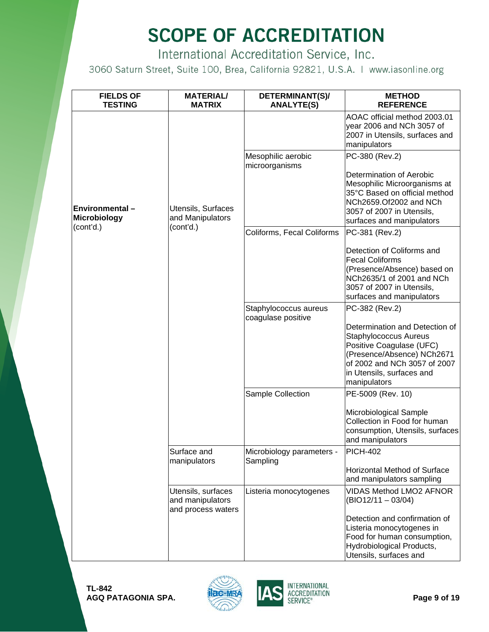International Accreditation Service, Inc.

| <b>FIELDS OF</b><br><b>TESTING</b>                         | <b>MATERIAL/</b><br><b>MATRIX</b>                            | DETERMINANT(S)/<br><b>ANALYTE(S)</b>        | <b>METHOD</b><br><b>REFERENCE</b>                                                                                                                                                                     |
|------------------------------------------------------------|--------------------------------------------------------------|---------------------------------------------|-------------------------------------------------------------------------------------------------------------------------------------------------------------------------------------------------------|
|                                                            |                                                              |                                             | AOAC official method 2003.01<br>year 2006 and NCh 3057 of<br>2007 in Utensils, surfaces and<br>manipulators                                                                                           |
|                                                            |                                                              | Mesophilic aerobic<br>microorganisms        | PC-380 (Rev.2)                                                                                                                                                                                        |
| <b>Environmental –</b><br><b>Microbiology</b><br>(cont'd.) | Utensils, Surfaces<br>and Manipulators<br>(cont'd.)          |                                             | Determination of Aerobic<br>Mesophilic Microorganisms at<br>35°C Based on official method<br>NCh2659.Of2002 and NCh<br>3057 of 2007 in Utensils,<br>surfaces and manipulators                         |
|                                                            |                                                              | Coliforms, Fecal Coliforms                  | PC-381 (Rev.2)                                                                                                                                                                                        |
|                                                            |                                                              |                                             | Detection of Coliforms and<br><b>Fecal Coliforms</b><br>(Presence/Absence) based on<br>NCh2635/1 of 2001 and NCh<br>3057 of 2007 in Utensils,<br>surfaces and manipulators                            |
|                                                            |                                                              | Staphylococcus aureus<br>coagulase positive | PC-382 (Rev.2)                                                                                                                                                                                        |
|                                                            |                                                              |                                             | Determination and Detection of<br><b>Staphylococcus Aureus</b><br>Positive Coagulase (UFC)<br>(Presence/Absence) NCh2671<br>of 2002 and NCh 3057 of 2007<br>in Utensils, surfaces and<br>manipulators |
|                                                            |                                                              | Sample Collection                           | PE-5009 (Rev. 10)                                                                                                                                                                                     |
|                                                            |                                                              |                                             | Microbiological Sample<br>Collection in Food for human<br>consumption, Utensils, surfaces<br>and manipulators                                                                                         |
|                                                            | Surface and<br>manipulators                                  | Microbiology parameters -<br>Sampling       | <b>PICH-402</b>                                                                                                                                                                                       |
|                                                            |                                                              |                                             | <b>Horizontal Method of Surface</b><br>and manipulators sampling                                                                                                                                      |
|                                                            | Utensils, surfaces<br>and manipulators<br>and process waters | Listeria monocytogenes                      | <b>VIDAS Method LMO2 AFNOR</b><br>$(BIO12/11 - 03/04)$                                                                                                                                                |
|                                                            |                                                              |                                             | Detection and confirmation of<br>Listeria monocytogenes in<br>Food for human consumption,<br>Hydrobiological Products,<br>Utensils, surfaces and                                                      |



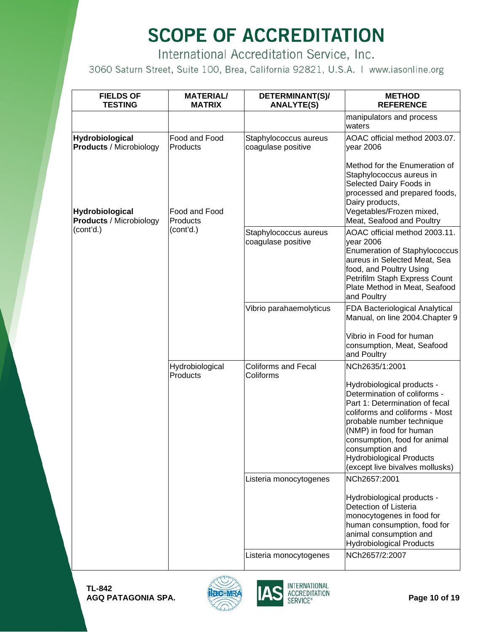International Accreditation Service, Inc.

| <b>FIELDS OF</b><br><b>TESTING</b>                | <b>MATERIAL/</b><br><b>MATRIX</b> | DETERMINANT(S)/<br><b>ANALYTE(S)</b>        | <b>METHOD</b><br><b>REFERENCE</b>                                                                                                                                                                                                                                                                                                 |
|---------------------------------------------------|-----------------------------------|---------------------------------------------|-----------------------------------------------------------------------------------------------------------------------------------------------------------------------------------------------------------------------------------------------------------------------------------------------------------------------------------|
|                                                   |                                   |                                             | manipulators and process<br>waters                                                                                                                                                                                                                                                                                                |
| Hydrobiological<br><b>Products / Microbiology</b> | Food and Food<br>Products         | Staphylococcus aureus<br>coagulase positive | AOAC official method 2003.07.<br>year 2006                                                                                                                                                                                                                                                                                        |
| Hydrobiological<br><b>Products / Microbiology</b> | Food and Food<br>Products         |                                             | Method for the Enumeration of<br>Staphylococcus aureus in<br>Selected Dairy Foods in<br>processed and prepared foods,<br>Dairy products,<br>Vegetables/Frozen mixed,<br>Meat, Seafood and Poultry                                                                                                                                 |
| (cont'd.)                                         | (cont'd.)                         | Staphylococcus aureus<br>coagulase positive | AOAC official method 2003.11.<br>year 2006<br><b>Enumeration of Staphylococcus</b><br>aureus in Selected Meat, Sea<br>food, and Poultry Using<br>Petrifilm Staph Express Count<br>Plate Method in Meat, Seafood<br>and Poultry                                                                                                    |
|                                                   |                                   | Vibrio parahaemolyticus                     | FDA Bacteriological Analytical<br>Manual, on line 2004. Chapter 9                                                                                                                                                                                                                                                                 |
|                                                   |                                   |                                             | Vibrio in Food for human<br>consumption, Meat, Seafood<br>and Poultry                                                                                                                                                                                                                                                             |
|                                                   | Hydrobiological<br>Products       | <b>Coliforms and Fecal</b><br>Coliforms     | NCh2635/1:2001<br>Hydrobiological products -<br>Determination of coliforms -<br>Part 1: Determination of fecal<br>coliforms and coliforms - Most<br>probable number technique<br>(NMP) in food for human<br>consumption, food for animal<br>consumption and<br><b>Hydrobiological Products</b><br>(except live bivalves mollusks) |
|                                                   |                                   | Listeria monocytogenes                      | NCh2657:2001                                                                                                                                                                                                                                                                                                                      |
|                                                   |                                   |                                             | Hydrobiological products -<br>Detection of Listeria<br>monocytogenes in food for<br>human consumption, food for<br>animal consumption and<br><b>Hydrobiological Products</b>                                                                                                                                                      |
|                                                   |                                   | Listeria monocytogenes                      | NCh2657/2:2007                                                                                                                                                                                                                                                                                                                    |



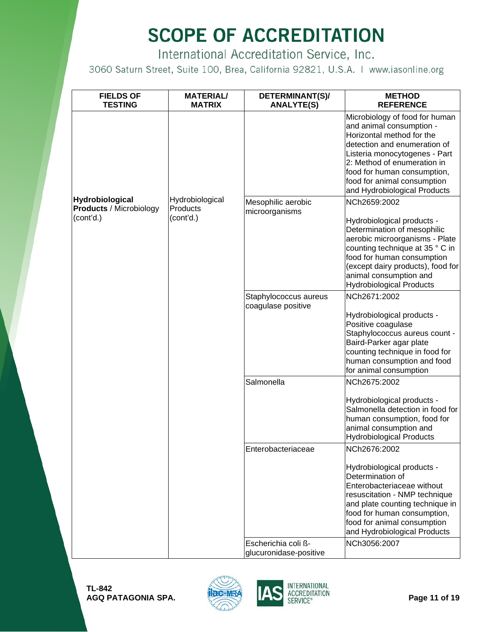International Accreditation Service, Inc.

| <b>FIELDS OF</b><br><b>TESTING</b>                | <b>MATERIAL/</b><br><b>MATRIX</b> | DETERMINANT(S)/<br><b>ANALYTE(S)</b>          | <b>METHOD</b><br><b>REFERENCE</b>                                                                                                                                                                                                                                                     |
|---------------------------------------------------|-----------------------------------|-----------------------------------------------|---------------------------------------------------------------------------------------------------------------------------------------------------------------------------------------------------------------------------------------------------------------------------------------|
|                                                   |                                   |                                               | Microbiology of food for human<br>and animal consumption -<br>Horizontal method for the<br>detection and enumeration of<br>Listeria monocytogenes - Part<br>2: Method of enumeration in<br>food for human consumption,<br>food for animal consumption<br>and Hydrobiological Products |
| Hydrobiological<br><b>Products / Microbiology</b> | Hydrobiological<br>Products       | Mesophilic aerobic                            | NCh2659:2002                                                                                                                                                                                                                                                                          |
| (cont'd.)                                         | (cont'd.)                         | microorganisms                                | Hydrobiological products -<br>Determination of mesophilic<br>aerobic microorganisms - Plate<br>counting technique at 35 ° C in<br>food for human consumption<br>(except dairy products), food for<br>animal consumption and<br><b>Hydrobiological Products</b>                        |
|                                                   |                                   | Staphylococcus aureus<br>coagulase positive   | NCh2671:2002                                                                                                                                                                                                                                                                          |
|                                                   |                                   |                                               | Hydrobiological products -<br>Positive coagulase<br>Staphylococcus aureus count -<br>Baird-Parker agar plate<br>counting technique in food for<br>human consumption and food<br>for animal consumption                                                                                |
|                                                   |                                   | Salmonella                                    | NCh2675:2002                                                                                                                                                                                                                                                                          |
|                                                   |                                   |                                               | Hydrobiological products -<br>Salmonella detection in food for<br>human consumption, food for<br>animal consumption and<br><b>Hydrobiological Products</b>                                                                                                                            |
|                                                   |                                   | Enterobacteriaceae                            | NCh2676:2002                                                                                                                                                                                                                                                                          |
|                                                   |                                   |                                               | Hydrobiological products -<br>Determination of<br>Enterobacteriaceae without<br>resuscitation - NMP technique<br>and plate counting technique in<br>food for human consumption,<br>food for animal consumption<br>and Hydrobiological Products                                        |
|                                                   |                                   | Escherichia coli ß-<br>glucuronidase-positive | NCh3056:2007                                                                                                                                                                                                                                                                          |

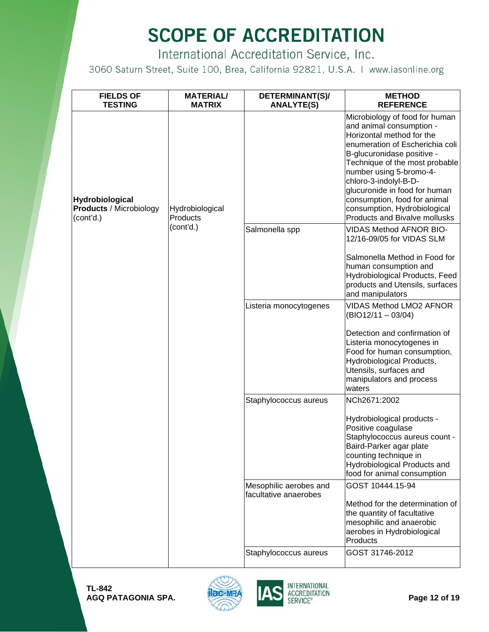International Accreditation Service, Inc.

| <b>FIELDS OF</b><br><b>TESTING</b>                                    | <b>MATERIAL/</b><br><b>MATRIX</b> | DETERMINANT(S)/<br><b>ANALYTE(S)</b>             | <b>METHOD</b><br><b>REFERENCE</b>                                                                                                                                                                                                                                                                                                                                                       |
|-----------------------------------------------------------------------|-----------------------------------|--------------------------------------------------|-----------------------------------------------------------------------------------------------------------------------------------------------------------------------------------------------------------------------------------------------------------------------------------------------------------------------------------------------------------------------------------------|
| <b>Hydrobiological</b><br><b>Products / Microbiology</b><br>(cont'd.) | Hydrobiological<br>Products       |                                                  | Microbiology of food for human<br>and animal consumption -<br>Horizontal method for the<br>enumeration of Escherichia coli<br>B-glucuronidase positive -<br>Technique of the most probable<br>number using 5-bromo-4-<br>chloro-3-indolyl-B-D-<br>glucuronide in food for human<br>consumption, food for animal<br>consumption, Hydrobiological<br><b>Products and Bivalve mollusks</b> |
|                                                                       | (cont'd.)                         | Salmonella spp                                   | <b>VIDAS Method AFNOR BIO-</b><br>12/16-09/05 for VIDAS SLM                                                                                                                                                                                                                                                                                                                             |
|                                                                       |                                   |                                                  | Salmonella Method in Food for<br>human consumption and<br>Hydrobiological Products, Feed<br>products and Utensils, surfaces<br>and manipulators                                                                                                                                                                                                                                         |
|                                                                       |                                   | Listeria monocytogenes                           | <b>VIDAS Method LMO2 AFNOR</b><br>$(BIO12/11 - 03/04)$                                                                                                                                                                                                                                                                                                                                  |
|                                                                       |                                   |                                                  | Detection and confirmation of<br>Listeria monocytogenes in<br>Food for human consumption,<br>Hydrobiological Products,<br>Utensils, surfaces and<br>manipulators and process<br>waters                                                                                                                                                                                                  |
|                                                                       |                                   | Staphylococcus aureus                            | NCh2671:2002                                                                                                                                                                                                                                                                                                                                                                            |
|                                                                       |                                   |                                                  | Hydrobiological products -<br>Positive coagulase<br>Staphylococcus aureus count -<br>Baird-Parker agar plate<br>counting technique in<br>Hydrobiological Products and<br>food for animal consumption                                                                                                                                                                                    |
|                                                                       |                                   | Mesophilic aerobes and<br>lfacultative anaerobes | GOST 10444.15-94                                                                                                                                                                                                                                                                                                                                                                        |
|                                                                       |                                   |                                                  | Method for the determination of<br>the quantity of facultative<br>mesophilic and anaerobic<br>aerobes in Hydrobiological<br>Products                                                                                                                                                                                                                                                    |
|                                                                       |                                   | Staphylococcus aureus                            | GOST 31746-2012                                                                                                                                                                                                                                                                                                                                                                         |



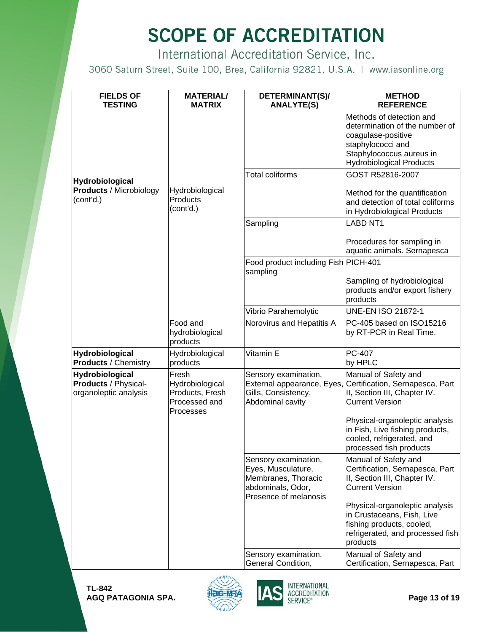International Accreditation Service, Inc.

| <b>FIELDS OF</b><br><b>TESTING</b>                               | <b>MATERIAL/</b><br><b>MATRIX</b>                                         | DETERMINANT(S)/<br><b>ANALYTE(S)</b>                                                                            | <b>METHOD</b><br><b>REFERENCE</b>                                                                                                                                    |
|------------------------------------------------------------------|---------------------------------------------------------------------------|-----------------------------------------------------------------------------------------------------------------|----------------------------------------------------------------------------------------------------------------------------------------------------------------------|
|                                                                  |                                                                           |                                                                                                                 | Methods of detection and<br>determination of the number of<br>coagulase-positive<br>staphylococci and<br>Staphylococcus aureus in<br><b>Hydrobiological Products</b> |
| Hydrobiological<br><b>Products / Microbiology</b><br>(cont'd.)   | Hydrobiological<br>Products<br>(cont'd.)                                  | <b>Total coliforms</b>                                                                                          | GOST R52816-2007<br>Method for the quantification<br>and detection of total coliforms<br>in Hydrobiological Products                                                 |
|                                                                  |                                                                           | Sampling                                                                                                        | <b>LABD NT1</b>                                                                                                                                                      |
|                                                                  |                                                                           |                                                                                                                 | Procedures for sampling in<br>aquatic animals. Sernapesca                                                                                                            |
|                                                                  |                                                                           | Food product including Fish PICH-401<br>sampling                                                                |                                                                                                                                                                      |
|                                                                  |                                                                           |                                                                                                                 | Sampling of hydrobiological<br>products and/or export fishery<br>products                                                                                            |
|                                                                  |                                                                           | Vibrio Parahemolytic                                                                                            | <b>UNE-EN ISO 21872-1</b>                                                                                                                                            |
|                                                                  | Food and<br>hydrobiological<br>products                                   | Norovirus and Hepatitis A                                                                                       | PC-405 based on ISO15216<br>by RT-PCR in Real Time.                                                                                                                  |
| Hydrobiological<br><b>Products / Chemistry</b>                   | Hydrobiological<br>products                                               | Vitamin E                                                                                                       | PC-407<br>by HPLC                                                                                                                                                    |
| Hydrobiological<br>Products / Physical-<br>organoleptic analysis | Fresh<br>Hydrobiological<br>Products, Fresh<br>Processed and<br>Processes | Sensory examination,<br>Gills, Consistency,<br>Abdominal cavity                                                 | Manual of Safety and<br>External appearance, Eyes, Certification, Sernapesca, Part<br>II, Section III, Chapter IV.<br><b>Current Version</b>                         |
|                                                                  |                                                                           |                                                                                                                 | Physical-organoleptic analysis<br>in Fish, Live fishing products,<br>cooled, refrigerated, and<br>processed fish products                                            |
|                                                                  |                                                                           | Sensory examination,<br>Eyes, Musculature,<br>Membranes, Thoracic<br>abdominals, Odor,<br>Presence of melanosis | Manual of Safety and<br>Certification, Sernapesca, Part<br>II, Section III, Chapter IV.<br><b>Current Version</b>                                                    |
|                                                                  |                                                                           |                                                                                                                 | Physical-organoleptic analysis<br>in Crustaceans, Fish, Live<br>fishing products, cooled,<br>refrigerated, and processed fish<br>products                            |
|                                                                  |                                                                           | Sensory examination,<br>General Condition,                                                                      | Manual of Safety and<br>Certification, Sernapesca, Part                                                                                                              |



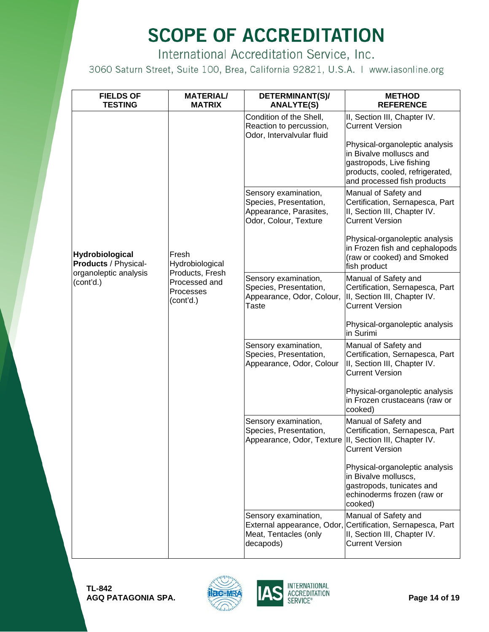International Accreditation Service, Inc.

| <b>FIELDS OF</b><br><b>TESTING</b>                                            | <b>MATERIAL/</b><br><b>MATRIX</b>                                                      | DETERMINANT(S)/<br><b>ANALYTE(S)</b>                                                              | <b>METHOD</b><br><b>REFERENCE</b>                                                                                                                       |
|-------------------------------------------------------------------------------|----------------------------------------------------------------------------------------|---------------------------------------------------------------------------------------------------|---------------------------------------------------------------------------------------------------------------------------------------------------------|
|                                                                               |                                                                                        | Condition of the Shell,<br>Reaction to percussion,<br>Odor, Intervalvular fluid                   | II, Section III, Chapter IV.<br><b>Current Version</b>                                                                                                  |
|                                                                               |                                                                                        |                                                                                                   | Physical-organoleptic analysis<br>in Bivalve molluscs and<br>gastropods, Live fishing<br>products, cooled, refrigerated,<br>and processed fish products |
|                                                                               |                                                                                        | Sensory examination,<br>Species, Presentation,<br>Appearance, Parasites,<br>Odor, Colour, Texture | Manual of Safety and<br>Certification, Sernapesca, Part<br>II, Section III, Chapter IV.<br><b>Current Version</b>                                       |
| Hydrobiological<br>Products / Physical-<br>organoleptic analysis<br>(cont'd.) | Fresh<br>Hydrobiological<br>Products, Fresh<br>Processed and<br>Processes<br>(cont'd.) |                                                                                                   | Physical-organoleptic analysis<br>in Frozen fish and cephalopods<br>(raw or cooked) and Smoked<br>fish product                                          |
|                                                                               |                                                                                        | Sensory examination,<br>Species, Presentation,<br>Appearance, Odor, Colour,<br>Taste              | Manual of Safety and<br>Certification, Sernapesca, Part<br>II, Section III, Chapter IV.<br><b>Current Version</b>                                       |
|                                                                               |                                                                                        |                                                                                                   | Physical-organoleptic analysis<br>in Surimi                                                                                                             |
|                                                                               |                                                                                        | Sensory examination,<br>Species, Presentation,<br>Appearance, Odor, Colour                        | Manual of Safety and<br>Certification, Sernapesca, Part<br>II, Section III, Chapter IV.<br><b>Current Version</b>                                       |
|                                                                               |                                                                                        |                                                                                                   | Physical-organoleptic analysis<br>in Frozen crustaceans (raw or<br>cooked)                                                                              |
|                                                                               |                                                                                        | Sensory examination,<br>Species, Presentation,<br>Appearance, Odor, Texture                       | Manual of Safety and<br>Certification, Sernapesca, Part<br>II, Section III, Chapter IV.<br>Current Version                                              |
|                                                                               |                                                                                        |                                                                                                   | Physical-organoleptic analysis<br>in Bivalve molluscs,<br>gastropods, tunicates and<br>echinoderms frozen (raw or<br>cooked)                            |
|                                                                               |                                                                                        | Sensory examination,<br>External appearance, Odor,<br>Meat, Tentacles (only<br>decapods)          | Manual of Safety and<br>Certification, Sernapesca, Part<br>II, Section III, Chapter IV.<br><b>Current Version</b>                                       |

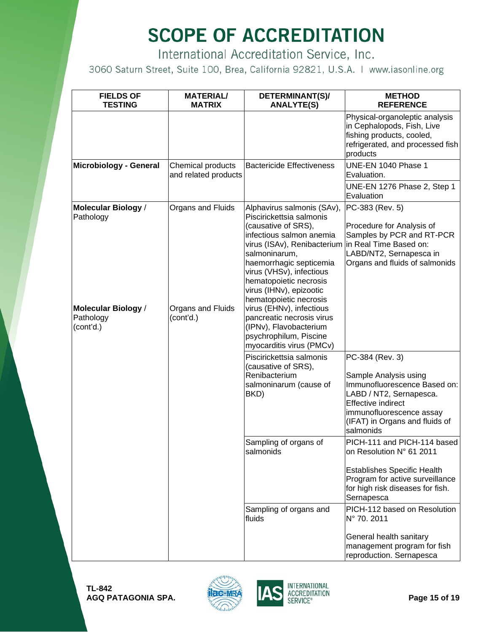International Accreditation Service, Inc.

| <b>FIELDS OF</b><br><b>TESTING</b>                                                       | <b>MATERIAL/</b><br><b>MATRIX</b>                   | DETERMINANT(S)/<br><b>ANALYTE(S)</b>                                                                                                                                                                                                                                                                                                                                               | <b>METHOD</b><br><b>REFERENCE</b>                                                                                                                                                        |
|------------------------------------------------------------------------------------------|-----------------------------------------------------|------------------------------------------------------------------------------------------------------------------------------------------------------------------------------------------------------------------------------------------------------------------------------------------------------------------------------------------------------------------------------------|------------------------------------------------------------------------------------------------------------------------------------------------------------------------------------------|
|                                                                                          |                                                     |                                                                                                                                                                                                                                                                                                                                                                                    | Physical-organoleptic analysis<br>in Cephalopods, Fish, Live<br>fishing products, cooled,<br>refrigerated, and processed fish<br>products                                                |
| Microbiology - General                                                                   | Chemical products<br>and related products           | <b>Bactericide Effectiveness</b>                                                                                                                                                                                                                                                                                                                                                   | UNE-EN 1040 Phase 1<br>Evaluation.                                                                                                                                                       |
|                                                                                          |                                                     |                                                                                                                                                                                                                                                                                                                                                                                    | UNE-EN 1276 Phase 2, Step 1<br>Evaluation                                                                                                                                                |
| Molecular Biology /<br>Pathology<br><b>Molecular Biology /</b><br>Pathology<br>(cont'd.) | Organs and Fluids<br>Organs and Fluids<br>(cont'd.) | Alphavirus salmonis (SAv),<br>Piscirickettsia salmonis<br>(causative of SRS),<br>infectious salmon anemia<br>virus (ISAv), Renibacterium<br>salmoninarum,<br>haemorrhagic septicemia<br>virus (VHSv), infectious<br>hematopoietic necrosis<br>virus (IHNv), epizootic<br>hematopoietic necrosis<br>virus (EHNv), infectious<br>pancreatic necrosis virus<br>(IPNv), Flavobacterium | PC-383 (Rev. 5)<br>Procedure for Analysis of<br>Samples by PCR and RT-PCR<br>in Real Time Based on:<br>LABD/NT2, Sernapesca in<br>Organs and fluids of salmonids                         |
|                                                                                          |                                                     | psychrophilum, Piscine<br>myocarditis virus (PMCv)<br>Piscirickettsia salmonis                                                                                                                                                                                                                                                                                                     | PC-384 (Rev. 3)                                                                                                                                                                          |
|                                                                                          |                                                     | (causative of SRS),<br>Renibacterium<br>salmoninarum (cause of<br>BKD)                                                                                                                                                                                                                                                                                                             | Sample Analysis using<br>Immunofluorescence Based on:<br>LABD / NT2, Sernapesca.<br><b>Effective indirect</b><br>immunofluorescence assay<br>(IFAT) in Organs and fluids of<br>salmonids |
|                                                                                          |                                                     | Sampling of organs of<br>salmonids                                                                                                                                                                                                                                                                                                                                                 | PICH-111 and PICH-114 based<br>on Resolution N° 61 2011                                                                                                                                  |
|                                                                                          |                                                     |                                                                                                                                                                                                                                                                                                                                                                                    | <b>Establishes Specific Health</b><br>Program for active surveillance<br>for high risk diseases for fish.<br>Sernapesca                                                                  |
|                                                                                          |                                                     | Sampling of organs and<br>fluids                                                                                                                                                                                                                                                                                                                                                   | PICH-112 based on Resolution<br>N° 70, 2011                                                                                                                                              |
|                                                                                          |                                                     |                                                                                                                                                                                                                                                                                                                                                                                    | General health sanitary<br>management program for fish<br>reproduction. Sernapesca                                                                                                       |



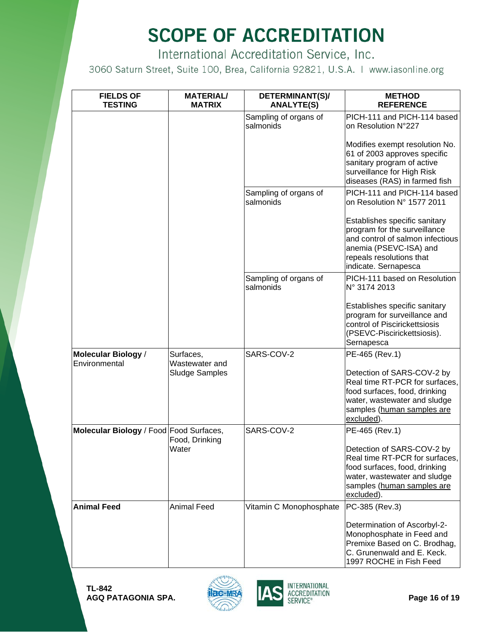International Accreditation Service, Inc.

| <b>FIELDS OF</b><br><b>TESTING</b>      | <b>MATERIAL/</b><br><b>MATRIX</b> | DETERMINANT(S)/<br><b>ANALYTE(S)</b> | <b>METHOD</b><br><b>REFERENCE</b>                                                                                                                                               |
|-----------------------------------------|-----------------------------------|--------------------------------------|---------------------------------------------------------------------------------------------------------------------------------------------------------------------------------|
|                                         |                                   | Sampling of organs of<br>salmonids   | PICH-111 and PICH-114 based<br>on Resolution N°227                                                                                                                              |
|                                         |                                   |                                      | Modifies exempt resolution No.<br>61 of 2003 approves specific<br>sanitary program of active<br>surveillance for High Risk<br>diseases (RAS) in farmed fish                     |
|                                         |                                   | Sampling of organs of<br>salmonids   | PICH-111 and PICH-114 based<br>on Resolution N° 1577 2011                                                                                                                       |
|                                         |                                   |                                      | Establishes specific sanitary<br>program for the surveillance<br>and control of salmon infectious<br>anemia (PSEVC-ISA) and<br>repeals resolutions that<br>indicate. Sernapesca |
|                                         |                                   | Sampling of organs of<br>salmonids   | PICH-111 based on Resolution<br>Nº 3174 2013                                                                                                                                    |
|                                         |                                   |                                      | Establishes specific sanitary<br>program for surveillance and<br>control of Piscirickettsiosis<br>(PSEVC-Piscirickettsiosis).<br>Sernapesca                                     |
| Molecular Biology /<br>Environmental    | Surfaces,<br>Wastewater and       | SARS-COV-2                           | PE-465 (Rev.1)                                                                                                                                                                  |
|                                         | <b>Sludge Samples</b>             |                                      | Detection of SARS-COV-2 by<br>Real time RT-PCR for surfaces,<br>food surfaces, food, drinking<br>water, wastewater and sludge<br>samples (human samples are<br>excluded).       |
| Molecular Biology / Food Food Surfaces, | Food, Drinking                    | SARS-COV-2                           | PE-465 (Rev.1)                                                                                                                                                                  |
|                                         | Water                             |                                      | Detection of SARS-COV-2 by<br>Real time RT-PCR for surfaces,<br>food surfaces, food, drinking<br>water, wastewater and sludge<br>samples (human samples are<br>excluded).       |
| <b>Animal Feed</b>                      | <b>Animal Feed</b>                | Vitamin C Monophosphate              | PC-385 (Rev.3)                                                                                                                                                                  |
|                                         |                                   |                                      | Determination of Ascorbyl-2-<br>Monophosphate in Feed and<br>Premixe Based on C. Brodhag,<br>C. Grunenwald and E. Keck.<br>1997 ROCHE in Fish Feed                              |



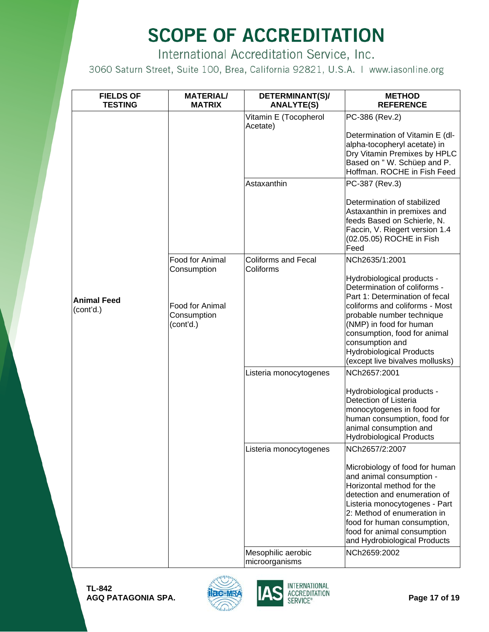International Accreditation Service, Inc.

| <b>FIELDS OF</b><br><b>TESTING</b> | <b>MATERIAL/</b><br><b>MATRIX</b>           | DETERMINANT(S)/<br><b>ANALYTE(S)</b>    | <b>METHOD</b><br><b>REFERENCE</b>                                                                                                                                                                                                                                                                       |
|------------------------------------|---------------------------------------------|-----------------------------------------|---------------------------------------------------------------------------------------------------------------------------------------------------------------------------------------------------------------------------------------------------------------------------------------------------------|
|                                    |                                             | Vitamin E (Tocopherol<br>Acetate)       | PC-386 (Rev.2)<br>Determination of Vitamin E (dl-<br>alpha-tocopheryl acetate) in<br>Dry Vitamin Premixes by HPLC<br>Based on "W. Schüep and P.<br>Hoffman, ROCHE in Fish Feed                                                                                                                          |
|                                    |                                             | Astaxanthin                             | PC-387 (Rev.3)<br>Determination of stabilized<br>Astaxanthin in premixes and<br>feeds Based on Schierle, N.<br>Faccin, V. Riegert version 1.4<br>(02.05.05) ROCHE in Fish<br>Feed                                                                                                                       |
|                                    | Food for Animal<br>Consumption              | <b>Coliforms and Fecal</b><br>Coliforms | NCh2635/1:2001<br>Hydrobiological products -<br>Determination of coliforms -<br>Part 1: Determination of fecal                                                                                                                                                                                          |
| <b>Animal Feed</b><br>(cont'd.)    | Food for Animal<br>Consumption<br>(cont'd.) |                                         | coliforms and coliforms - Most<br>probable number technique<br>(NMP) in food for human<br>consumption, food for animal<br>consumption and<br><b>Hydrobiological Products</b><br>(except live bivalves mollusks)                                                                                         |
|                                    |                                             | Listeria monocytogenes                  | NCh2657:2001<br>Hydrobiological products -<br>Detection of Listeria<br>monocytogenes in food for<br>human consumption, food for<br>animal consumption and<br><b>Hydrobiological Products</b>                                                                                                            |
|                                    |                                             | Listeria monocytogenes                  | NCh2657/2:2007<br>Microbiology of food for human<br>and animal consumption -<br>Horizontal method for the<br>detection and enumeration of<br>Listeria monocytogenes - Part<br>2: Method of enumeration in<br>food for human consumption,<br>food for animal consumption<br>and Hydrobiological Products |
|                                    |                                             | Mesophilic aerobic<br>microorganisms    | NCh2659:2002                                                                                                                                                                                                                                                                                            |



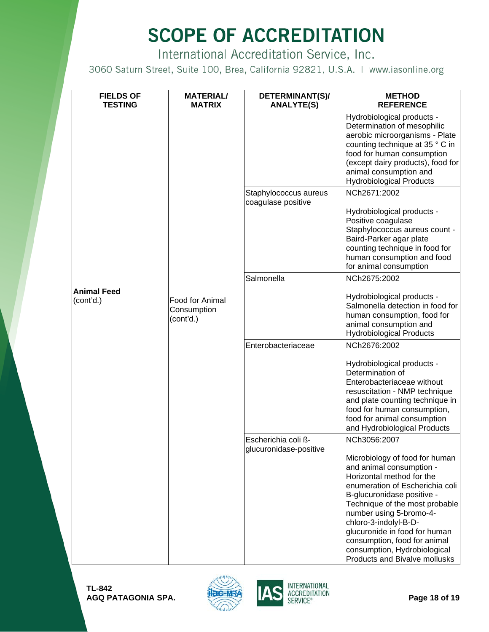International Accreditation Service, Inc.

| <b>FIELDS OF</b><br><b>TESTING</b> | <b>MATERIAL/</b><br><b>MATRIX</b>                  | DETERMINANT(S)/<br><b>ANALYTE(S)</b>          | <b>METHOD</b><br><b>REFERENCE</b>                                                                                                                                                                                                                                                                                                                                                |
|------------------------------------|----------------------------------------------------|-----------------------------------------------|----------------------------------------------------------------------------------------------------------------------------------------------------------------------------------------------------------------------------------------------------------------------------------------------------------------------------------------------------------------------------------|
|                                    |                                                    |                                               | Hydrobiological products -<br>Determination of mesophilic<br>aerobic microorganisms - Plate<br>counting technique at 35 ° C in<br>food for human consumption<br>(except dairy products), food for<br>animal consumption and<br><b>Hydrobiological Products</b>                                                                                                                   |
|                                    |                                                    | Staphylococcus aureus<br>coagulase positive   | NCh2671:2002<br>Hydrobiological products -<br>Positive coagulase                                                                                                                                                                                                                                                                                                                 |
|                                    |                                                    |                                               | Staphylococcus aureus count -<br>Baird-Parker agar plate<br>counting technique in food for<br>human consumption and food<br>for animal consumption                                                                                                                                                                                                                               |
|                                    |                                                    | Salmonella                                    | NCh2675:2002                                                                                                                                                                                                                                                                                                                                                                     |
| <b>Animal Feed</b><br>(cont'd.)    | <b>Food for Animal</b><br>Consumption<br>(cont'd.) |                                               | Hydrobiological products -<br>Salmonella detection in food for<br>human consumption, food for<br>animal consumption and<br><b>Hydrobiological Products</b>                                                                                                                                                                                                                       |
|                                    |                                                    | Enterobacteriaceae                            | NCh2676:2002                                                                                                                                                                                                                                                                                                                                                                     |
|                                    |                                                    |                                               | Hydrobiological products -<br>Determination of<br>Enterobacteriaceae without<br>resuscitation - NMP technique<br>and plate counting technique in<br>food for human consumption,<br>food for animal consumption<br>and Hydrobiological Products                                                                                                                                   |
|                                    |                                                    | Escherichia coli ß-<br>glucuronidase-positive | NCh3056:2007                                                                                                                                                                                                                                                                                                                                                                     |
|                                    |                                                    |                                               | Microbiology of food for human<br>and animal consumption -<br>Horizontal method for the<br>enumeration of Escherichia coli<br>B-glucuronidase positive -<br>Technique of the most probable<br>number using 5-bromo-4-<br>chloro-3-indolyl-B-D-<br>glucuronide in food for human<br>consumption, food for animal<br>consumption, Hydrobiological<br>Products and Bivalve mollusks |